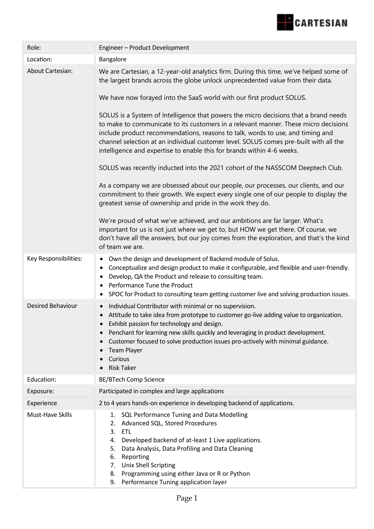

| Role:                   | Engineer - Product Development                                                                                                                                                                                                                                                                                                                                                                                                                                                                                                                                                                                                                                                                                                                                                                                                                                                                                                                                                                                                                                                                                                                                                                                                                                                      |
|-------------------------|-------------------------------------------------------------------------------------------------------------------------------------------------------------------------------------------------------------------------------------------------------------------------------------------------------------------------------------------------------------------------------------------------------------------------------------------------------------------------------------------------------------------------------------------------------------------------------------------------------------------------------------------------------------------------------------------------------------------------------------------------------------------------------------------------------------------------------------------------------------------------------------------------------------------------------------------------------------------------------------------------------------------------------------------------------------------------------------------------------------------------------------------------------------------------------------------------------------------------------------------------------------------------------------|
| Location:               | Bangalore                                                                                                                                                                                                                                                                                                                                                                                                                                                                                                                                                                                                                                                                                                                                                                                                                                                                                                                                                                                                                                                                                                                                                                                                                                                                           |
| <b>About Cartesian:</b> | We are Cartesian, a 12-year-old analytics firm. During this time, we've helped some of<br>the largest brands across the globe unlock unprecedented value from their data.<br>We have now forayed into the SaaS world with our first product SOLUS.<br>SOLUS is a System of Intelligence that powers the micro decisions that a brand needs<br>to make to communicate to its customers in a relevant manner. These micro decisions<br>include product recommendations, reasons to talk, words to use, and timing and<br>channel selection at an individual customer level. SOLUS comes pre-built with all the<br>intelligence and expertise to enable this for brands within 4-6 weeks.<br>SOLUS was recently inducted into the 2021 cohort of the NASSCOM Deeptech Club.<br>As a company we are obsessed about our people, our processes, our clients, and our<br>commitment to their growth. We expect every single one of our people to display the<br>greatest sense of ownership and pride in the work they do.<br>We're proud of what we've achieved, and our ambitions are far larger. What's<br>important for us is not just where we get to, but HOW we get there. Of course, we<br>don't have all the answers, but our joy comes from the exploration, and that's the kind |
| Key Responsibilities:   | of team we are.<br>Own the design and development of Backend module of Solus.<br>٠<br>Conceptualize and design product to make it configurable, and flexible and user-friendly.<br>٠<br>Develop, QA the Product and release to consulting team.<br>$\bullet$<br>Performance Tune the Product<br>SPOC for Product to consulting team getting customer live and solving production issues.<br>٠                                                                                                                                                                                                                                                                                                                                                                                                                                                                                                                                                                                                                                                                                                                                                                                                                                                                                       |
| Desired Behaviour       | Individual Contributor with minimal or no supervision.<br>$\bullet$<br>Attitude to take idea from prototype to customer go-live adding value to organization.<br>Exhibit passion for technology and design.<br>Penchant for learning new skills quickly and leveraging in product development.<br>$\bullet$<br>Customer focused to solve production issues pro-actively with minimal guidance.<br>$\bullet$<br><b>Team Player</b><br>Curious<br><b>Risk Taker</b>                                                                                                                                                                                                                                                                                                                                                                                                                                                                                                                                                                                                                                                                                                                                                                                                                   |
| Education:              | <b>BE/BTech Comp Science</b>                                                                                                                                                                                                                                                                                                                                                                                                                                                                                                                                                                                                                                                                                                                                                                                                                                                                                                                                                                                                                                                                                                                                                                                                                                                        |
| Exposure:               | Participated in complex and large applications                                                                                                                                                                                                                                                                                                                                                                                                                                                                                                                                                                                                                                                                                                                                                                                                                                                                                                                                                                                                                                                                                                                                                                                                                                      |
| Experience              | 2 to 4 years hands-on experience in developing backend of applications.                                                                                                                                                                                                                                                                                                                                                                                                                                                                                                                                                                                                                                                                                                                                                                                                                                                                                                                                                                                                                                                                                                                                                                                                             |
| Must-Have Skills        | 1. SQL Performance Tuning and Data Modelling<br>2. Advanced SQL, Stored Procedures<br>3.<br><b>ETL</b><br>Developed backend of at-least 1 Live applications.<br>4.<br>Data Analysis, Data Profiling and Data Cleaning<br>5.<br>6.<br>Reporting<br><b>Unix Shell Scripting</b><br>7.<br>Programming using either Java or R or Python<br>8.<br>Performance Tuning application layer<br>9.                                                                                                                                                                                                                                                                                                                                                                                                                                                                                                                                                                                                                                                                                                                                                                                                                                                                                             |